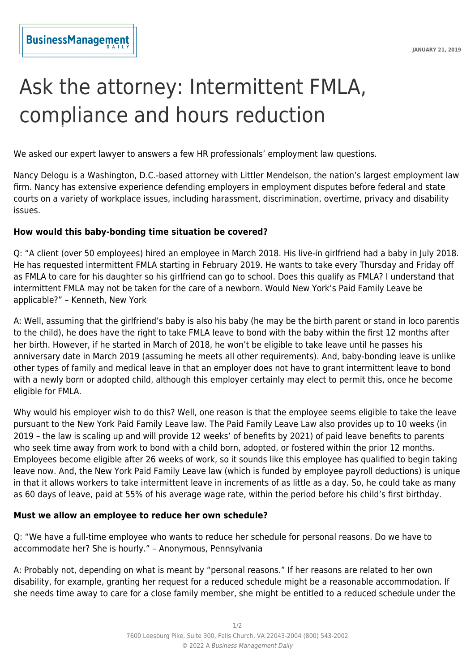## Ask the attorney: Intermittent FMLA, compliance and hours reduction

We asked our expert lawyer to answers a few HR professionals' employment law questions.

Nancy Delogu is a Washington, D.C.-based attorney with Littler Mendelson, the nation's largest employment law firm. Nancy has extensive experience defending employers in employment disputes before federal and state courts on a variety of workplace issues, including harassment, discrimination, overtime, privacy and disability issues.

## **How would this baby-bonding time situation be covered?**

Q: "A client (over 50 employees) hired an employee in March 2018. His live-in girlfriend had a baby in July 2018. He has requested intermittent FMLA starting in February 2019. He wants to take every Thursday and Friday off as FMLA to care for his daughter so his girlfriend can go to school. Does this qualify as FMLA? I understand that intermittent FMLA may not be taken for the care of a newborn. Would New York's Paid Family Leave be applicable?" – Kenneth, New York

A: Well, assuming that the girlfriend's baby is also his baby (he may be the birth parent or stand in loco parentis to the child), he does have the right to take FMLA leave to bond with the baby within the first 12 months after her birth. However, if he started in March of 2018, he won't be eligible to take leave until he passes his anniversary date in March 2019 (assuming he meets all other requirements). And, baby-bonding leave is unlike other types of family and medical leave in that an employer does not have to grant intermittent leave to bond with a newly born or adopted child, although this employer certainly may elect to permit this, once he become eligible for FMLA.

Why would his employer wish to do this? Well, one reason is that the employee seems eligible to take the leave pursuant to the New York Paid Family Leave law. The Paid Family Leave Law also provides up to 10 weeks (in 2019 – the law is scaling up and will provide 12 weeks' of benefits by 2021) of paid leave benefits to parents who seek time away from work to bond with a child born, adopted, or fostered within the prior 12 months. Employees become eligible after 26 weeks of work, so it sounds like this employee has qualified to begin taking leave now. And, the New York Paid Family Leave law (which is funded by employee payroll deductions) is unique in that it allows workers to take intermittent leave in increments of as little as a day. So, he could take as many as 60 days of leave, paid at 55% of his average wage rate, within the period before his child's first birthday.

## **Must we allow an employee to reduce her own schedule?**

Q: "We have a full-time employee who wants to reduce her schedule for personal reasons. Do we have to accommodate her? She is hourly." – Anonymous, Pennsylvania

A: Probably not, depending on what is meant by "personal reasons." If her reasons are related to her own disability, for example, granting her request for a reduced schedule might be a reasonable accommodation. If she needs time away to care for a close family member, she might be entitled to a reduced schedule under the